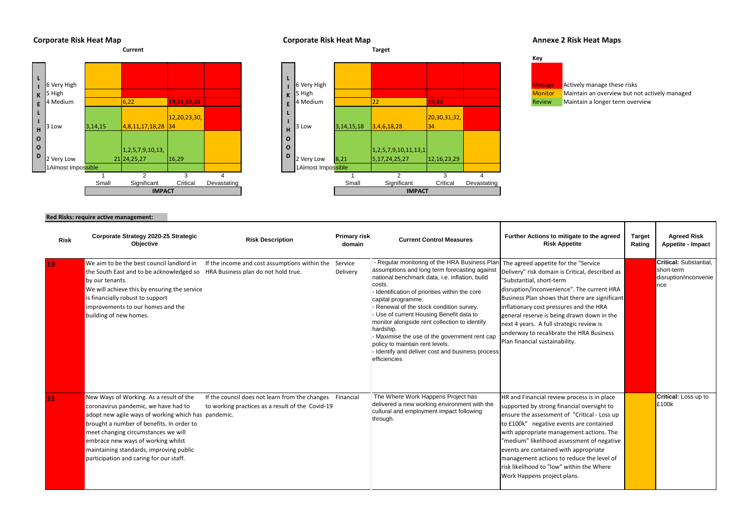





## **Corporate Risk Heat Map Corporate Risk Heat Map Corporate Risk Heat Map Annexe 2 Risk Heat Maps**

## **Red Risks: require active management:**

| <b>Risk</b> | Corporate Strategy 2020-25 Strategic<br><b>Objective</b>                                                                                                                                                                                                                                                                                               | <b>Risk Description</b>                                                                                      | <b>Primary risk</b><br>domain | <b>Current Control Measures</b>                                                                                                                                                                                                                                                                                                                                                                                                                                                                                                                  | Further Actions to mitigate to the agreed<br><b>Risk Appetite</b>                                                                                                                                                                                                                                                                                                                                                                                | <b>Target</b><br>Rating | <b>Agreed Risk</b><br><b>Appetite - Impact</b>                              |
|-------------|--------------------------------------------------------------------------------------------------------------------------------------------------------------------------------------------------------------------------------------------------------------------------------------------------------------------------------------------------------|--------------------------------------------------------------------------------------------------------------|-------------------------------|--------------------------------------------------------------------------------------------------------------------------------------------------------------------------------------------------------------------------------------------------------------------------------------------------------------------------------------------------------------------------------------------------------------------------------------------------------------------------------------------------------------------------------------------------|--------------------------------------------------------------------------------------------------------------------------------------------------------------------------------------------------------------------------------------------------------------------------------------------------------------------------------------------------------------------------------------------------------------------------------------------------|-------------------------|-----------------------------------------------------------------------------|
| 19          | We aim to be the best council landlord in<br>the South East and to be acknowledged so HRA Business plan do not hold true.<br>by our tenants.<br>We will achieve this by ensuring the service<br>is financially robust to support<br>improvements to our homes and the<br>building of new homes.                                                        | If the income and cost assumptions within the                                                                | Service<br>Delivery           | - Regular monitoring of the HRA Business Plar<br>assumptions and long term forecasting against<br>national benchmark data, i.e. inflation, build<br>costs.<br>- Identification of priorities within the core<br>capital programme.<br>- Renewal of the stock condition survey.<br>- Use of current Housing Benefit data to<br>monitor alongside rent collection to identify<br>hardship.<br>- Maximise the use of the government rent cap<br>policy to maintain rent levels.<br>- Identify and deliver cost and business process<br>efficiencies | The agreed appetite for the "Service<br>Delivery" risk domain is Critical, described as<br>"Substantial, short-term<br>disruption/inconvenience". The current HRA<br>Business Plan shows that there are significant<br>inflationary cost pressures and the HRA<br>general reserve is being drawn down in the<br>next 4 years. A full strategic review is<br>underway to recalibrate the HRA Business<br>Plan financial sustainability.           |                         | <b>Critical: Substantial,</b><br>short-term<br>disruption/inconvenie<br>nce |
| 31          | New Ways of Working. As a result of the<br>coronavirus pandemic, we have had to<br>adopt new agile ways of working which has pandemic.<br>brought a number of benefits. In order to<br>meet changing circumstances we will<br>embrace new ways of working whilst<br>maintaining standards, improving public<br>participation and caring for our staff. | If the council does not learn from the changes Financial<br>to working practices as a result of the Covid-19 |                               | The Where Work Happens Project has<br>delivered a new working environment with the<br>cultural and employment impact following<br>through.                                                                                                                                                                                                                                                                                                                                                                                                       | HR and Financial review process is in place<br>supported by strong financial oversight to<br>ensure the assessment of "Critical - Loss up<br>to £100k" negative events are contained<br>with appropriate management actions. The<br>"medium" likelihood assessment of negative<br>events are contained with appropriate<br>management actions to reduce the level of<br>risk likelihood to "low" within the Where<br>Work Happens project plans. |                         | Critical: Loss up to<br>£100k                                               |

- 
-